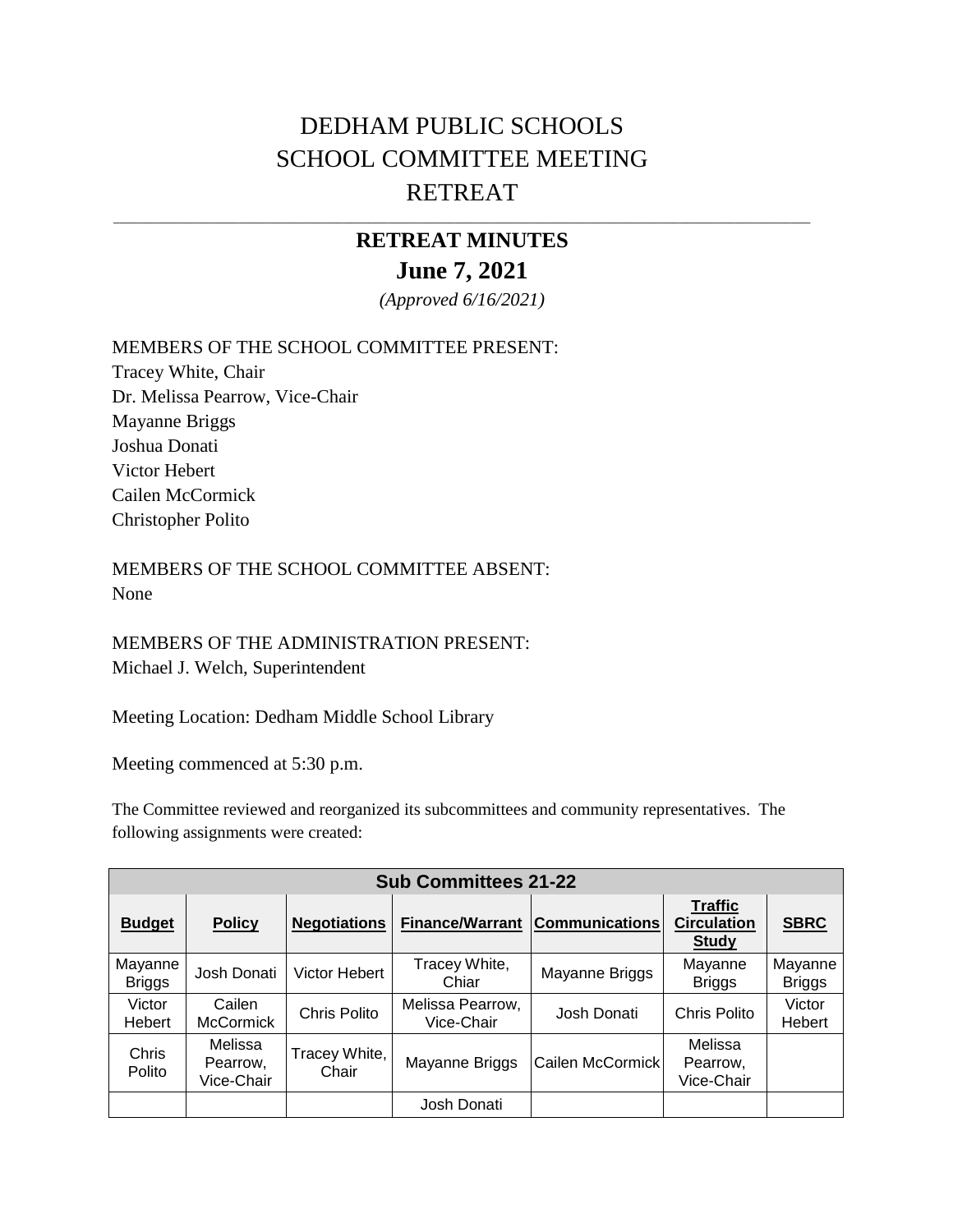# DEDHAM PUBLIC SCHOOLS SCHOOL COMMITTEE MEETING RETREAT

## **RETREAT MINUTES June 7, 2021**

\_\_\_\_\_\_\_\_\_\_\_\_\_\_\_\_\_\_\_\_\_\_\_\_\_\_\_\_\_\_\_\_\_\_\_\_\_\_\_\_\_\_\_\_\_\_\_\_\_\_\_\_\_\_\_\_\_\_\_\_\_\_\_\_\_\_\_\_\_\_\_\_\_\_\_\_\_\_\_\_\_\_\_\_\_\_\_\_\_\_\_\_\_\_\_\_\_\_\_\_\_\_\_\_\_\_\_\_\_\_\_\_

*(Approved 6/16/2021)*

MEMBERS OF THE SCHOOL COMMITTEE PRESENT:

Tracey White, Chair Dr. Melissa Pearrow, Vice-Chair Mayanne Briggs Joshua Donati Victor Hebert Cailen McCormick Christopher Polito

MEMBERS OF THE SCHOOL COMMITTEE ABSENT: None

MEMBERS OF THE ADMINISTRATION PRESENT: Michael J. Welch, Superintendent

Meeting Location: Dedham Middle School Library

Meeting commenced at 5:30 p.m.

The Committee reviewed and reorganized its subcommittees and community representatives. The following assignments were created:

| <b>Sub Committees 21-22</b> |                                   |                        |                                |                                           |                                                      |                          |  |  |
|-----------------------------|-----------------------------------|------------------------|--------------------------------|-------------------------------------------|------------------------------------------------------|--------------------------|--|--|
| <b>Budget</b>               | <b>Policy</b>                     | <b>Negotiations</b>    |                                | <b>Finance/Warrant   Communications  </b> | <b>Traffic</b><br><b>Circulation</b><br><b>Study</b> | <b>SBRC</b>              |  |  |
| Mayanne<br><b>Briggs</b>    | Josh Donati                       | Victor Hebert          | Tracey White,<br>Chiar         | Mayanne Briggs                            | Mayanne<br><b>Briggs</b>                             | Mayanne<br><b>Briggs</b> |  |  |
| Victor<br>Hebert            | Cailen<br><b>McCormick</b>        | Chris Polito           | Melissa Pearrow,<br>Vice-Chair | Josh Donati                               | Chris Polito                                         | Victor<br>Hebert         |  |  |
| Chris<br>Polito             | Melissa<br>Pearrow,<br>Vice-Chair | Tracey White,<br>Chair | Mayanne Briggs                 | Cailen McCormick                          | Melissa<br>Pearrow,<br>Vice-Chair                    |                          |  |  |
|                             |                                   |                        | Josh Donati                    |                                           |                                                      |                          |  |  |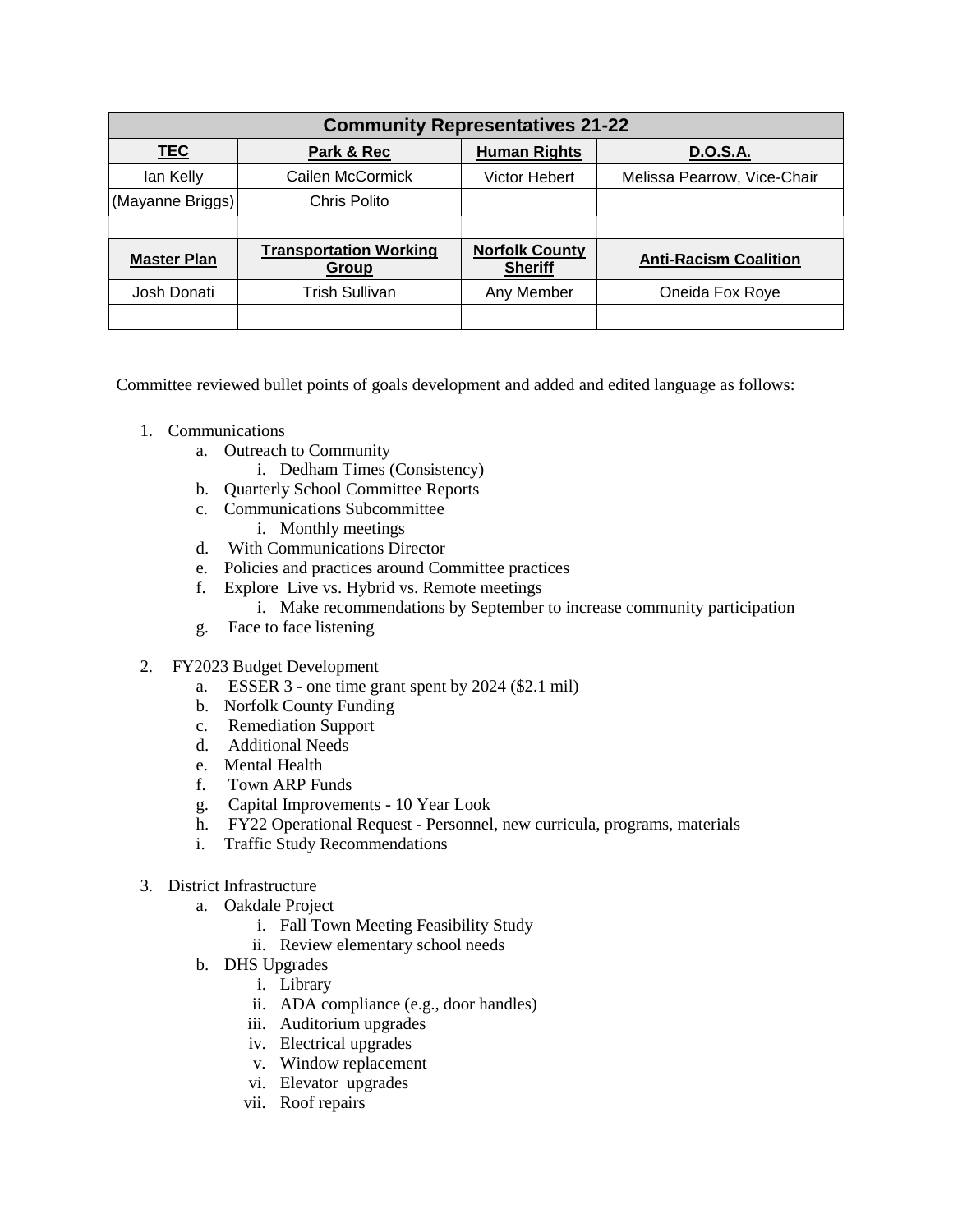| <b>Community Representatives 21-22</b> |                                        |                                         |                              |  |  |  |  |  |
|----------------------------------------|----------------------------------------|-----------------------------------------|------------------------------|--|--|--|--|--|
| <b>TEC</b>                             | Park & Rec                             | <b>Human Rights</b>                     | <b>D.O.S.A.</b>              |  |  |  |  |  |
| lan Kelly                              | Cailen McCormick                       | Victor Hebert                           | Melissa Pearrow, Vice-Chair  |  |  |  |  |  |
| (Mayanne Briggs)                       | Chris Polito                           |                                         |                              |  |  |  |  |  |
|                                        |                                        |                                         |                              |  |  |  |  |  |
| <b>Master Plan</b>                     | <b>Transportation Working</b><br>Group | <b>Norfolk County</b><br><b>Sheriff</b> | <b>Anti-Racism Coalition</b> |  |  |  |  |  |
| Josh Donati                            | Trish Sullivan                         | Any Member                              | Oneida Fox Roye              |  |  |  |  |  |
|                                        |                                        |                                         |                              |  |  |  |  |  |

Committee reviewed bullet points of goals development and added and edited language as follows:

- 1. Communications
	- a. Outreach to Community
		- i. Dedham Times (Consistency)
	- b. Quarterly School Committee Reports
	- c. Communications Subcommittee
		- i. Monthly meetings
	- d. With Communications Director
	- e. Policies and practices around Committee practices
	- f. Explore Live vs. Hybrid vs. Remote meetings
		- i. Make recommendations by September to increase community participation
	- g. Face to face listening
- 2. FY2023 Budget Development
	- a. ESSER 3 one time grant spent by 2024 (\$2.1 mil)
	- b. Norfolk County Funding
	- c. Remediation Support
	- d. Additional Needs
	- e. Mental Health
	- f. Town ARP Funds
	- g. Capital Improvements 10 Year Look
	- h. FY22 Operational Request Personnel, new curricula, programs, materials
	- i. Traffic Study Recommendations
- 3. District Infrastructure
	- a. Oakdale Project
		- i. Fall Town Meeting Feasibility Study
		- ii. Review elementary school needs
	- b. DHS Upgrades
		- i. Library
		- ii. ADA compliance (e.g., door handles)
		- iii. Auditorium upgrades
		- iv. Electrical upgrades
		- v. Window replacement
		- vi. Elevator upgrades
		- vii. Roof repairs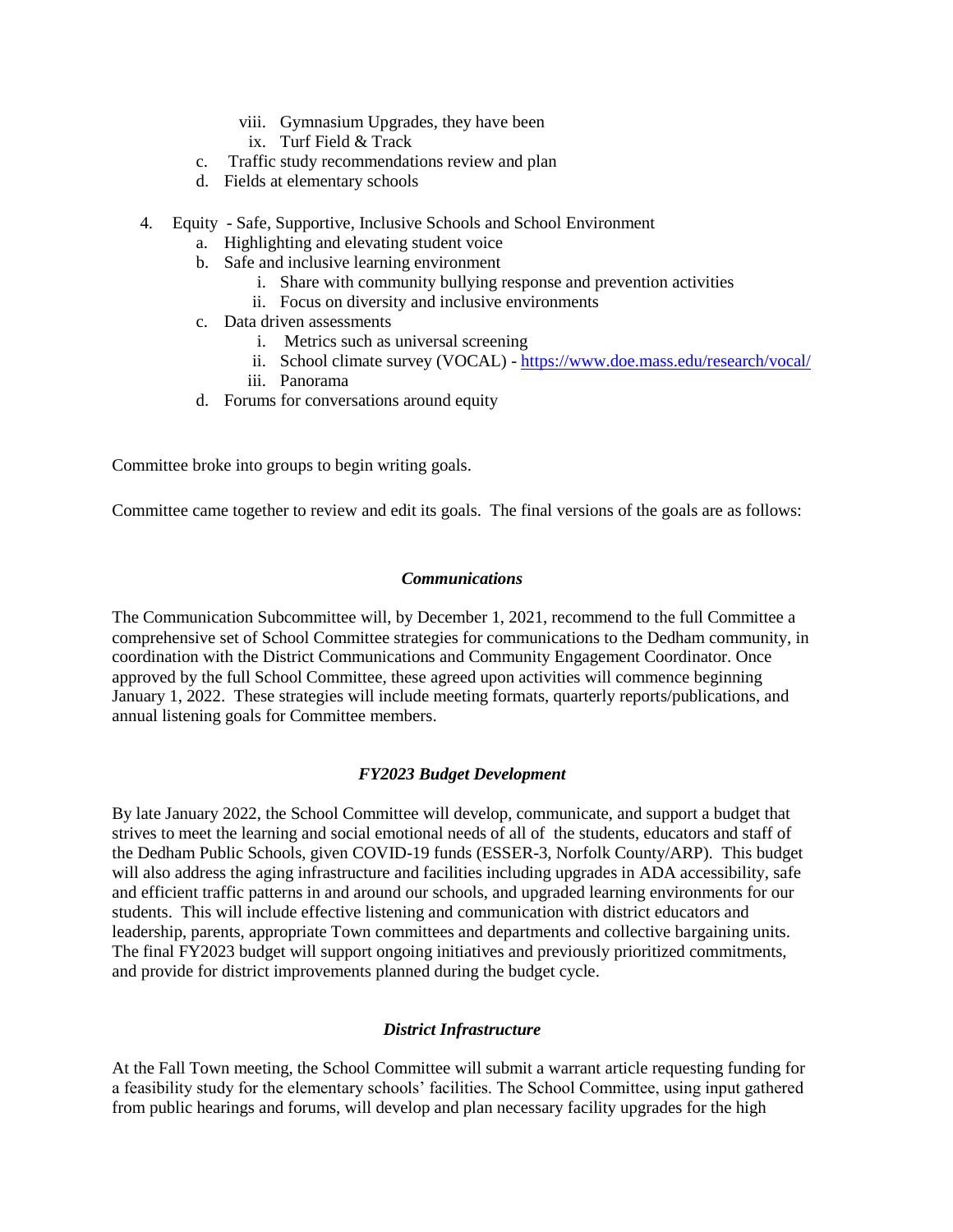- viii. Gymnasium Upgrades, they have been
- ix. Turf Field & Track
- c. Traffic study recommendations review and plan
- d. Fields at elementary schools
- 4. Equity Safe, Supportive, Inclusive Schools and School Environment
	- a. Highlighting and elevating student voice
	- b. Safe and inclusive learning environment
		- i. Share with community bullying response and prevention activities
		- ii. Focus on diversity and inclusive environments
	- c. Data driven assessments
		- i. Metrics such as universal screening
		- ii. School climate survey (VOCAL) <https://www.doe.mass.edu/research/vocal/>
		- iii. Panorama
	- d. Forums for conversations around equity

Committee broke into groups to begin writing goals.

Committee came together to review and edit its goals. The final versions of the goals are as follows:

#### *Communications*

The Communication Subcommittee will, by December 1, 2021, recommend to the full Committee a comprehensive set of School Committee strategies for communications to the Dedham community, in coordination with the District Communications and Community Engagement Coordinator. Once approved by the full School Committee, these agreed upon activities will commence beginning January 1, 2022. These strategies will include meeting formats, quarterly reports/publications, and annual listening goals for Committee members.

### *FY2023 Budget Development*

By late January 2022, the School Committee will develop, communicate, and support a budget that strives to meet the learning and social emotional needs of all of the students, educators and staff of the Dedham Public Schools, given COVID-19 funds (ESSER-3, Norfolk County/ARP). This budget will also address the aging infrastructure and facilities including upgrades in ADA accessibility, safe and efficient traffic patterns in and around our schools, and upgraded learning environments for our students. This will include effective listening and communication with district educators and leadership, parents, appropriate Town committees and departments and collective bargaining units. The final FY2023 budget will support ongoing initiatives and previously prioritized commitments, and provide for district improvements planned during the budget cycle.

### *District Infrastructure*

At the Fall Town meeting, the School Committee will submit a warrant article requesting funding for a feasibility study for the elementary schools' facilities. The School Committee, using input gathered from public hearings and forums, will develop and plan necessary facility upgrades for the high